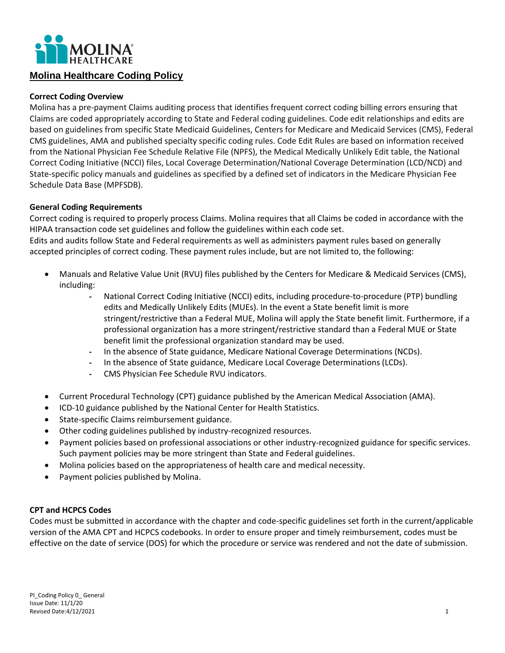

# **Molina Healthcare Coding Policy**

#### **Correct Coding Overview**

Molina has a pre-payment Claims auditing process that identifies frequent correct coding billing errors ensuring that Claims are coded appropriately according to State and Federal coding guidelines. Code edit relationships and edits are based on guidelines from specific State Medicaid Guidelines, Centers for Medicare and Medicaid Services (CMS), Federal CMS guidelines, AMA and published specialty specific coding rules. Code Edit Rules are based on information received from the National Physician Fee Schedule Relative File (NPFS), the Medical Medically Unlikely Edit table, the National Correct Coding Initiative (NCCI) files, Local Coverage Determination/National Coverage Determination (LCD/NCD) and State-specific policy manuals and guidelines as specified by a defined set of indicators in the Medicare Physician Fee Schedule Data Base (MPFSDB).

#### **General Coding Requirements**

Correct coding is required to properly process Claims. Molina requires that all Claims be coded in accordance with the HIPAA transaction code set guidelines and follow the guidelines within each code set.

Edits and audits follow State and Federal requirements as well as administers payment rules based on generally accepted principles of correct coding. These payment rules include, but are not limited to, the following:

- Manuals and Relative Value Unit (RVU) files published by the Centers for Medicare & Medicaid Services (CMS), including:
	- National Correct Coding Initiative (NCCI) edits, including procedure-to-procedure (PTP) bundling edits and Medically Unlikely Edits (MUEs). In the event a State benefit limit is more stringent/restrictive than a Federal MUE, Molina will apply the State benefit limit. Furthermore, if a professional organization has a more stringent/restrictive standard than a Federal MUE or State benefit limit the professional organization standard may be used.
	- In the absence of State guidance, Medicare National Coverage Determinations (NCDs).
	- In the absence of State guidance, Medicare Local Coverage Determinations (LCDs).
	- CMS Physician Fee Schedule RVU indicators.
- Current Procedural Technology (CPT) guidance published by the American Medical Association (AMA).
- ICD-10 guidance published by the National Center for Health Statistics.
- State-specific Claims reimbursement guidance.
- Other coding guidelines published by industry-recognized resources.
- Payment policies based on professional associations or other industry-recognized guidance for specific services. Such payment policies may be more stringent than State and Federal guidelines.
- Molina policies based on the appropriateness of health care and medical necessity.
- Payment policies published by Molina.

## **CPT and HCPCS Codes**

Codes must be submitted in accordance with the chapter and code-specific guidelines set forth in the current/applicable version of the AMA CPT and HCPCS codebooks. In order to ensure proper and timely reimbursement, codes must be effective on the date of service (DOS) for which the procedure or service was rendered and not the date of submission.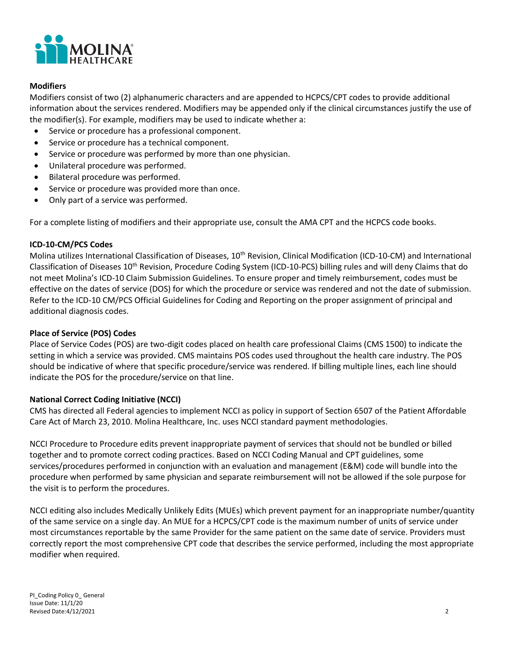

## **Modifiers**

Modifiers consist of two (2) alphanumeric characters and are appended to HCPCS/CPT codes to provide additional information about the services rendered. Modifiers may be appended only if the clinical circumstances justify the use of the modifier(s). For example, modifiers may be used to indicate whether a:

- Service or procedure has a professional component.
- Service or procedure has a technical component.
- Service or procedure was performed by more than one physician.
- Unilateral procedure was performed.
- Bilateral procedure was performed.
- Service or procedure was provided more than once.
- Only part of a service was performed.

For a complete listing of modifiers and their appropriate use, consult the AMA CPT and the HCPCS code books.

## **ICD-10-CM/PCS Codes**

Molina utilizes International Classification of Diseases, 10<sup>th</sup> Revision, Clinical Modification (ICD-10-CM) and International Classification of Diseases 10th Revision, Procedure Coding System (ICD-10-PCS) billing rules and will deny Claims that do not meet Molina's ICD-10 Claim Submission Guidelines. To ensure proper and timely reimbursement, codes must be effective on the dates of service (DOS) for which the procedure or service was rendered and not the date of submission. Refer to the ICD-10 CM/PCS Official Guidelines for Coding and Reporting on the proper assignment of principal and additional diagnosis codes.

## **Place of Service (POS) Codes**

Place of Service Codes (POS) are two-digit codes placed on health care professional Claims (CMS 1500) to indicate the setting in which a service was provided. CMS maintains POS codes used throughout the health care industry. The POS should be indicative of where that specific procedure/service was rendered. If billing multiple lines, each line should indicate the POS for the procedure/service on that line.

## **National Correct Coding Initiative (NCCI)**

CMS has directed all Federal agencies to implement NCCI as policy in support of Section 6507 of the Patient Affordable Care Act of March 23, 2010. Molina Healthcare, Inc. uses NCCI standard payment methodologies.

NCCI Procedure to Procedure edits prevent inappropriate payment of services that should not be bundled or billed together and to promote correct coding practices. Based on NCCI Coding Manual and CPT guidelines, some services/procedures performed in conjunction with an evaluation and management (E&M) code will bundle into the procedure when performed by same physician and separate reimbursement will not be allowed if the sole purpose for the visit is to perform the procedures.

NCCI editing also includes Medically Unlikely Edits (MUEs) which prevent payment for an inappropriate number/quantity of the same service on a single day. An MUE for a HCPCS/CPT code is the maximum number of units of service under most circumstances reportable by the same Provider for the same patient on the same date of service. Providers must correctly report the most comprehensive CPT code that describes the service performed, including the most appropriate modifier when required.